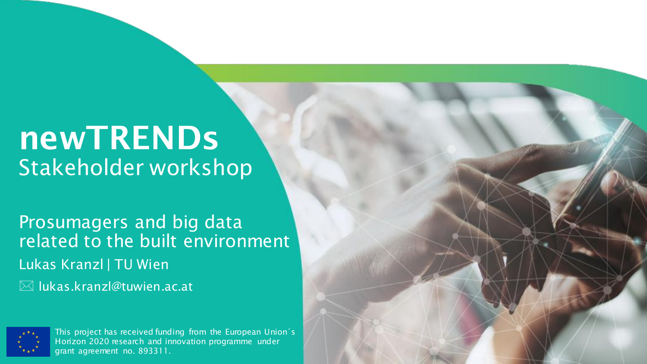# newTRENDs Stakeholder workshop

Prosumagers and big data related to the built environment Lukas Kranzl | TU Wien lukas.kranzl@tuwien.ac.at



This project has received funding from the European Union´s Horizon 2020 research and innovation programme under grant agreement no. 893311.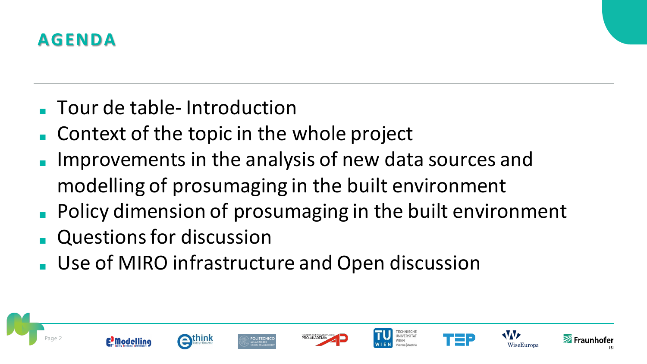

- Tour de table- Introduction
- Context of the topic in the whole project
- Improvements in the analysis of new data sources and modelling of prosumaging in the built environment
- Policy dimension of prosumaging in the built environment
- Questions for discussion
- Use of MIRO infrastructure and Open discussion















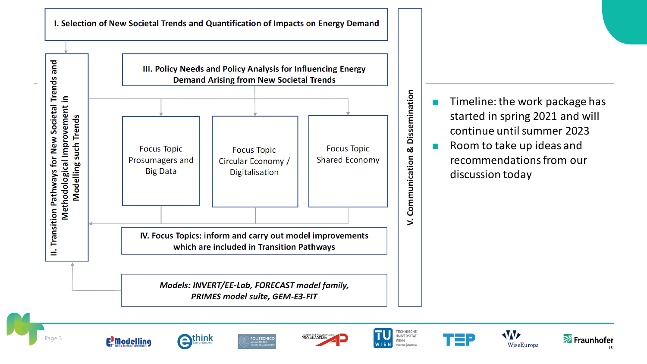I. Selection of New Societal Trends and Quantification of Impacts on Energy Demand



Timeline: the work package has started in spring 2021 and will continue untilsummer 2023

■ Room to take up ideas and recommendations from our discussion today

















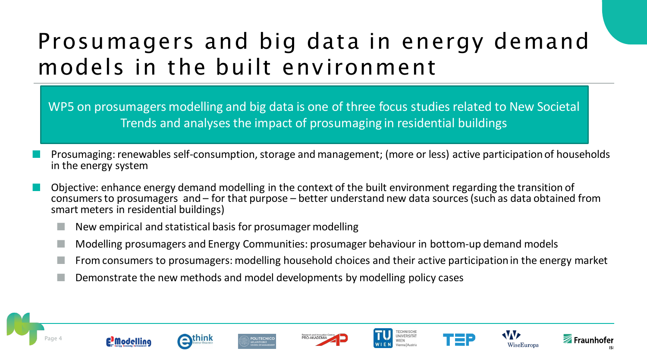### Prosumagers and big data in energy demand models in the built environment

WP5 on prosumagers modelling and big data is one of three focus studies related to New Societal Trends and analyses the impact of prosumaging in residential buildings

- Prosumaging: renewables self-consumption, storage and management; (more or less) active participation of households in the energy system
- Objective: enhance energy demand modelling in the context of the built environment regarding the transition of consumers to prosumagers and – for that purpose – better understand new data sources (such as data obtained from smart meters in residential buildings)
	- New empirical and statistical basis for prosumager modelling
	- Modelling prosumagers and Energy Communities: prosumager behaviour in bottom-up demand models
	- From consumers to prosumagers: modelling household choices and their active participation in the energy market
	- Demonstrate the new methods and model developments by modelling policy cases

















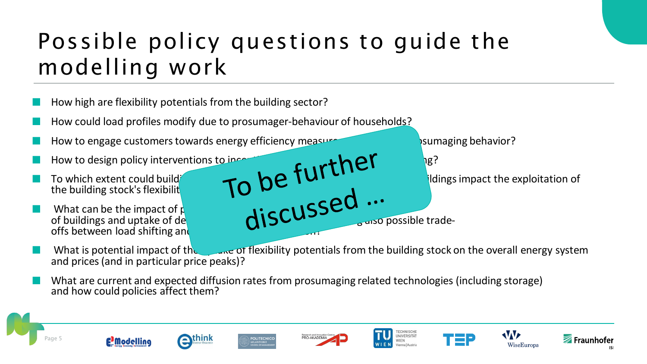### Possible policy questions to guide the modelling work

- How high are flexibility potentials from the building sector?
- How could load profiles modify due to prosumager-behaviour of households?
- How to engage customers towards energy efficiency measures and towards promaging behavior?
- **E** How to design policy interventions to incentive curve to  $\mathbf{P}$
- the building stock's flexibilit
- **E** What can be the impact of policies to the  $\mathbf{r}_i \in \mathbb{C} \setminus \mathbf{SSE}$ of buildings and uptake of demand response measures also possible tradeoffs between load shifting and

**The Codes of the Codes of the codes towards of the code towards of the codes towards of the exploitation of any small of the exploitation of**  $\mathbb{R}^n$  **of**  $\mathbb{R}^n$  **of**  $\mathbb{R}^n$  **of**  $\mathbb{R}^n$  **of**  $\mathbb{R}^n$  **of \mathbb{R}^n** 

- What is potential impact of the uptake of flexibility potentials from the building stock on the overall energy system and prices(and in particular price peaks)?
- What are current and expected diffusion rates from prosumaging related technologies (including storage) and how could policies affect them?















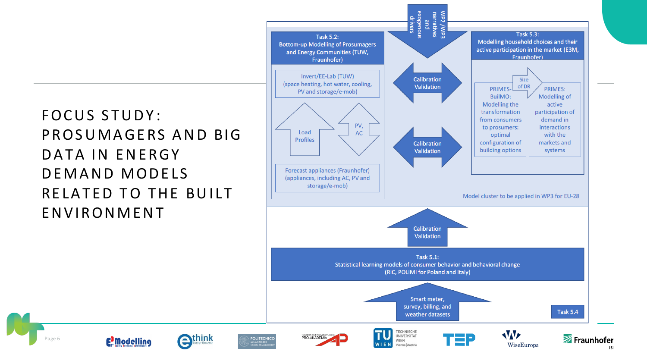### FOCUS STUDY: PROSUMAGERS AND BIG DATA IN ENERGY DEMAND MODELS RELATED TO THE BUILT **ENVIRONMENT**

**E** Modelling

extra RESEARCH

Page 6

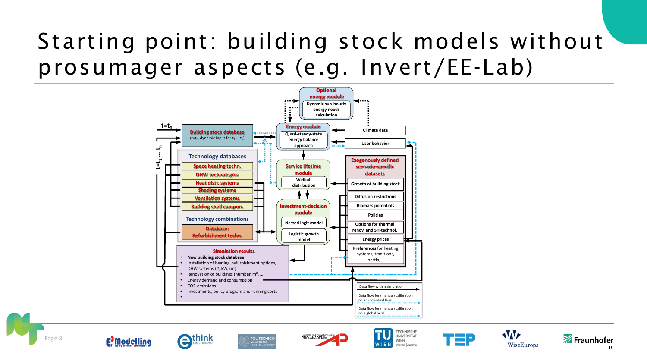### Starting point: building stock models without prosumager aspects (e.g. Invert/EE-Lab)











POLITECNICO







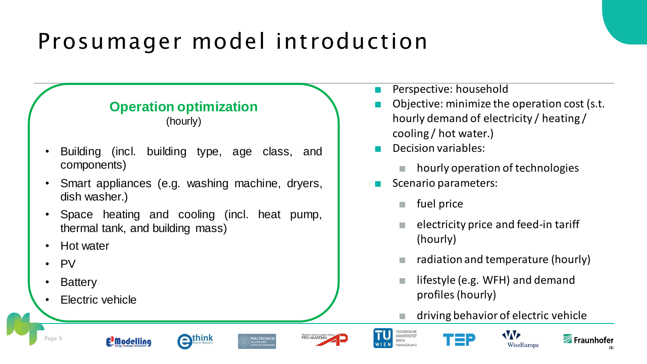### Prosumager model introduction

#### **Operation optimization**

(hourly)

- Building (incl. building type, age class, and components)
- Smart appliances (e.g. washing machine, dryers, dish washer.)
- Space heating and cooling (incl. heat pump, thermal tank, and building mass)

enthink

- Hot water
- PV
- **Battery**
- **Electric vehicle**

E<sup>3</sup>Modelling

- Perspective: household
- Objective: minimize the operation cost (s.t. hourly demand of electricity / heating / cooling / hot water.)
- Decision variables:
	- hourly operation of technologies
- Scenario parameters:
	- fuel price
	- electricity price and feed-in tariff (hourly)
	- radiation and temperature (hourly)
	- lifestyle (e.g. WFH) and demand profiles (hourly)
	- driving behavior of electric vehicle



TECHNISCHE<br>UNIVERSITÄT

Vienna | Austria

PRO-AKADEMIA

**POLITECNICO** 





Page 9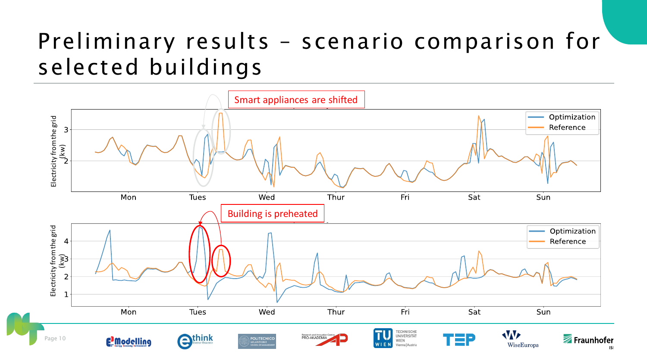### Preliminary results – scenario comparison for selected buildings

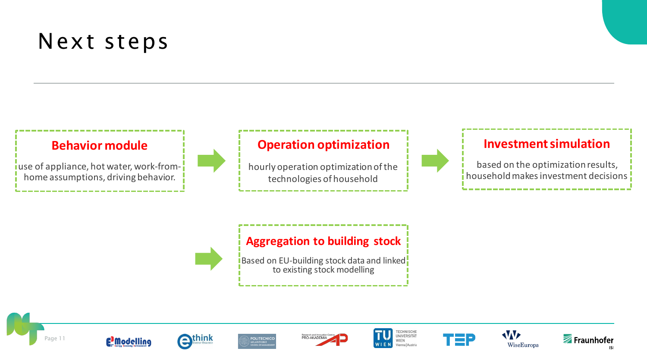### Next steps

#### **Behavior module**

use of appliance, hot water, work-fromhome assumptions, driving behavior.

#### **Operation optimization**

hourly operation optimization of the technologies of household



#### **Investment simulation**

based on the optimization results, household makes investment decisions



#### **Aggregation to building stock**

**Based on EU-building stock data and linked** to existing stock modelling

















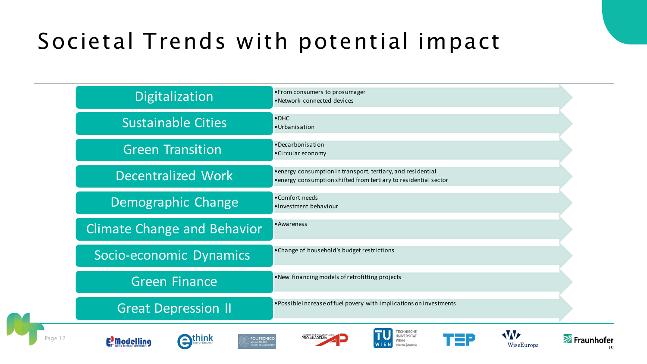## Societal Trends with potential impact

|         | Digitalization                                                        | • From consumers to prosumager<br>· Network connected devices                                                                    |            |
|---------|-----------------------------------------------------------------------|----------------------------------------------------------------------------------------------------------------------------------|------------|
|         | <b>Sustainable Cities</b>                                             | $\bullet$ DHC<br>· Urbanisation                                                                                                  |            |
|         | <b>Green Transition</b>                                               | ·Decarbonisation<br>• Circular economy                                                                                           |            |
|         | Decentralized Work                                                    | • energy consumption in transport, tertiary, and residential<br>• energy consumption shifted from tertiary to residential sector |            |
|         | Demographic Change                                                    | •Comfort needs<br>·Investment behaviour                                                                                          |            |
|         | <b>Climate Change and Behavior</b>                                    | • Awareness                                                                                                                      |            |
|         | Socio-economic Dynamics                                               | • Change of household's budget restrictions                                                                                      |            |
|         | <b>Green Finance</b>                                                  | . New financing models of retrofitting projects                                                                                  |            |
|         | <b>Great Depression II</b>                                            | . Possible increase of fuel povery with implications on investments                                                              |            |
| Page 12 | <b>think</b><br>POLITECNICO<br>E <sup>2</sup> Modelling<br>MILANO 186 | <b>VVF</b><br>WiseEuropa<br>'ienna   Austria                                                                                     | Fraunhofer |

WiseEuropa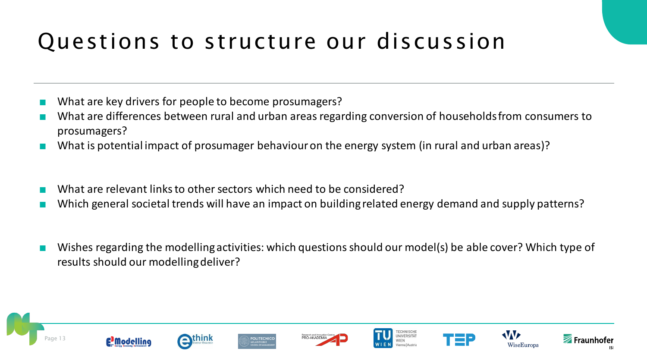### Questions to structure our discussion

- What are key drivers for people to become prosumagers?
- What are differences between rural and urban areas regarding conversion of households from consumers to prosumagers?
- What is potential impact of prosumager behaviour on the energy system (in rural and urban areas)?
- What are relevant links to other sectors which need to be considered?
- Which general societal trends will have an impact on building related energy demand and supply patterns?
- Wishes regarding the modelling activities: which questions should our model(s) be able cover? Which type of results should our modelling deliver?